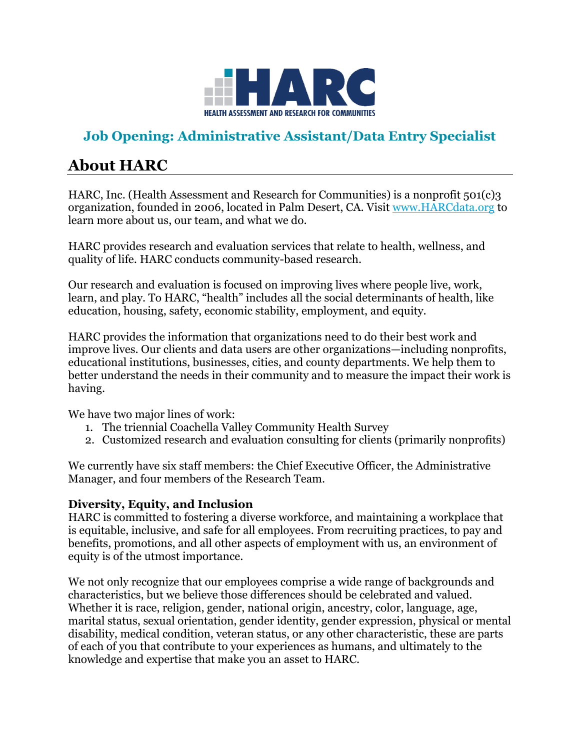

# **Job Opening: Administrative Assistant/Data Entry Specialist**

# **About HARC**

HARC, Inc. (Health Assessment and Research for Communities) is a nonprofit 501(c)3 organization, founded in 2006, located in Palm Desert, CA. Visit [www.HARCdata.org](file://///HARCSERVER-PC/Company/Human%20Resources/Job%20Descriptions/Associate-Assistant%20Full-Time%202020/www.HARCdata.org) to learn more about us, our team, and what we do.

HARC provides research and evaluation services that relate to health, wellness, and quality of life. HARC conducts community-based research.

Our research and evaluation is focused on improving lives where people live, work, learn, and play. To HARC, "health" includes all the social determinants of health, like education, housing, safety, economic stability, employment, and equity.

HARC provides the information that organizations need to do their best work and improve lives. Our clients and data users are other organizations—including nonprofits, educational institutions, businesses, cities, and county departments. We help them to better understand the needs in their community and to measure the impact their work is having.

We have two major lines of work:

- 1. The triennial Coachella Valley Community Health Survey
- 2. Customized research and evaluation consulting for clients (primarily nonprofits)

We currently have six staff members: the Chief Executive Officer, the Administrative Manager, and four members of the Research Team.

#### **Diversity, Equity, and Inclusion**

HARC is committed to fostering a diverse workforce, and maintaining a workplace that is equitable, inclusive, and safe for all employees. From recruiting practices, to pay and benefits, promotions, and all other aspects of employment with us, an environment of equity is of the utmost importance.

We not only recognize that our employees comprise a wide range of backgrounds and characteristics, but we believe those differences should be celebrated and valued. Whether it is race, religion, gender, national origin, ancestry, color, language, age, marital status, sexual orientation, gender identity, gender expression, physical or mental disability, medical condition, veteran status, or any other characteristic, these are parts of each of you that contribute to your experiences as humans, and ultimately to the knowledge and expertise that make you an asset to HARC.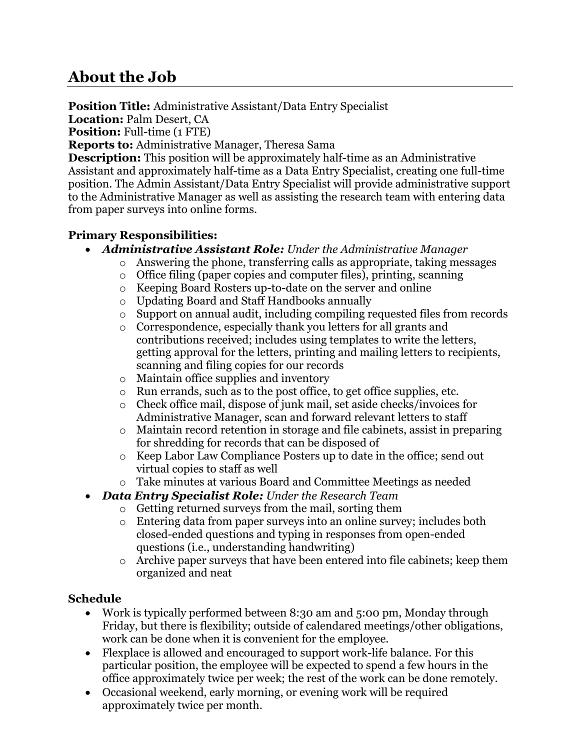# **About the Job**

**Position Title:** Administrative Assistant/Data Entry Specialist

**Location:** Palm Desert, CA **Position:** Full-time (1 FTE)

**Reports to:** Administrative Manager, Theresa Sama **Description:** This position will be approximately half-time as an Administrative

Assistant and approximately half-time as a Data Entry Specialist, creating one full-time position. The Admin Assistant/Data Entry Specialist will provide administrative support to the Administrative Manager as well as assisting the research team with entering data from paper surveys into online forms.

### **Primary Responsibilities:**

- *Administrative Assistant Role: Under the Administrative Manager*
	- o Answering the phone, transferring calls as appropriate, taking messages
	- o Office filing (paper copies and computer files), printing, scanning
	- o Keeping Board Rosters up-to-date on the server and online
	- o Updating Board and Staff Handbooks annually
	- o Support on annual audit, including compiling requested files from records
	- o Correspondence, especially thank you letters for all grants and contributions received; includes using templates to write the letters, getting approval for the letters, printing and mailing letters to recipients, scanning and filing copies for our records
	- o Maintain office supplies and inventory
	- o Run errands, such as to the post office, to get office supplies, etc.
	- o Check office mail, dispose of junk mail, set aside checks/invoices for Administrative Manager, scan and forward relevant letters to staff
	- o Maintain record retention in storage and file cabinets, assist in preparing for shredding for records that can be disposed of
	- o Keep Labor Law Compliance Posters up to date in the office; send out virtual copies to staff as well
	- o Take minutes at various Board and Committee Meetings as needed
- *Data Entry Specialist Role: Under the Research Team*
	- o Getting returned surveys from the mail, sorting them
	- $\circ$  Entering data from paper surveys into an online survey; includes both closed-ended questions and typing in responses from open-ended questions (i.e., understanding handwriting)
	- o Archive paper surveys that have been entered into file cabinets; keep them organized and neat

## **Schedule**

- Work is typically performed between 8:30 am and 5:00 pm, Monday through Friday, but there is flexibility; outside of calendared meetings/other obligations, work can be done when it is convenient for the employee.
- Flexplace is allowed and encouraged to support work-life balance. For this particular position, the employee will be expected to spend a few hours in the office approximately twice per week; the rest of the work can be done remotely.
- Occasional weekend, early morning, or evening work will be required approximately twice per month.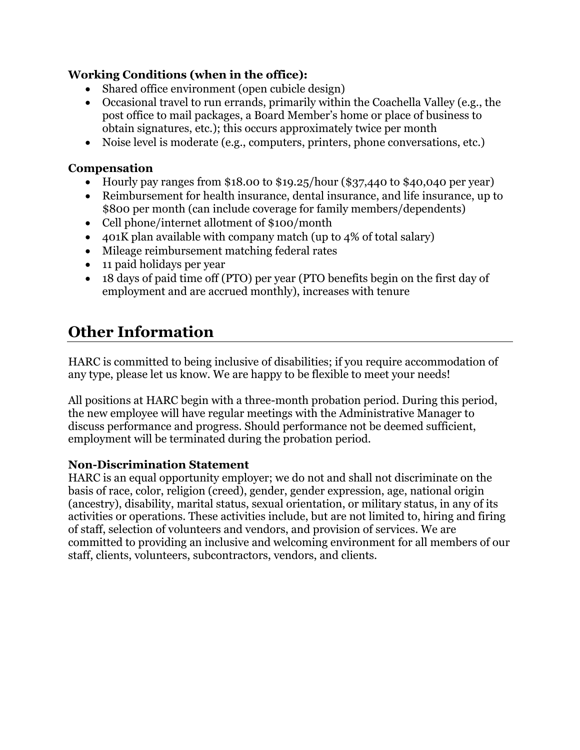### **Working Conditions (when in the office):**

- Shared office environment (open cubicle design)
- Occasional travel to run errands, primarily within the Coachella Valley (e.g., the post office to mail packages, a Board Member's home or place of business to obtain signatures, etc.); this occurs approximately twice per month
- Noise level is moderate (e.g., computers, printers, phone conversations, etc.)

#### **Compensation**

- Hourly pay ranges from \$18.00 to \$19.25/hour (\$37,440 to \$40,040 per year)
- Reimbursement for health insurance, dental insurance, and life insurance, up to \$800 per month (can include coverage for family members/dependents)
- Cell phone/internet allotment of \$100/month
- 401K plan available with company match (up to 4% of total salary)
- Mileage reimbursement matching federal rates
- 11 paid holidays per year
- 18 days of paid time off (PTO) per year (PTO benefits begin on the first day of employment and are accrued monthly), increases with tenure

# **Other Information**

HARC is committed to being inclusive of disabilities; if you require accommodation of any type, please let us know. We are happy to be flexible to meet your needs!

All positions at HARC begin with a three-month probation period. During this period, the new employee will have regular meetings with the Administrative Manager to discuss performance and progress. Should performance not be deemed sufficient, employment will be terminated during the probation period.

#### **Non-Discrimination Statement**

HARC is an equal opportunity employer; we do not and shall not discriminate on the basis of race, color, religion (creed), gender, gender expression, age, national origin (ancestry), disability, marital status, sexual orientation, or military status, in any of its activities or operations. These activities include, but are not limited to, hiring and firing of staff, selection of volunteers and vendors, and provision of services. We are committed to providing an inclusive and welcoming environment for all members of our staff, clients, volunteers, subcontractors, vendors, and clients.